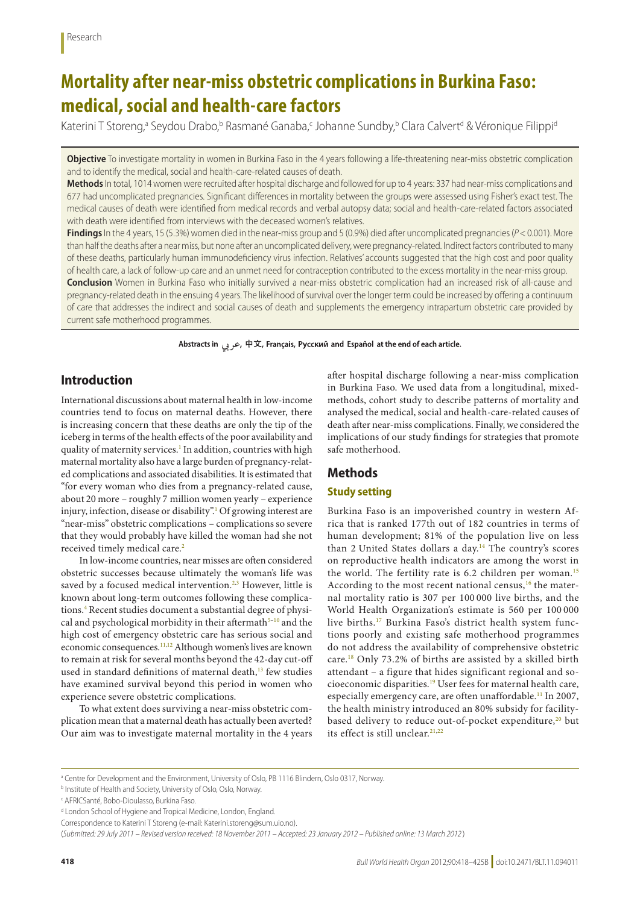# **Mortality after near-miss obstetric complications in Burkina Faso: medical, social and health-care factors**

Katerini T Storeng,<sup>a</sup> Seydou Drabo,<sup>b</sup> Rasmané Ganaba,<sup>c</sup> Johanne Sundby,<sup>b</sup> Clara Calvert<sup>d</sup> & Véronique Filippi<sup>c</sup>

**Objective** To investigate mortality in women in Burkina Faso in the 4 years following a life-threatening near-miss obstetric complication and to identify the medical, social and health-care-related causes of death.

**Methods** In total, 1014 women were recruited after hospital discharge and followed for up to 4 years: 337 had near-miss complications and 677 had uncomplicated pregnancies. Significant differences in mortality between the groups were assessed using Fisher's exact test. The medical causes of death were identified from medical records and verbal autopsy data; social and health-care-related factors associated with death were identified from interviews with the deceased women's relatives.

**Findings** In the 4 years, 15 (5.3%) women died in the near-miss group and 5 (0.9%) died after uncomplicated pregnancies (*P* < 0.001). More than half the deaths after a near miss, but none after an uncomplicated delivery, were pregnancy-related. Indirect factors contributed to many of these deaths, particularly human immunodeficiency virus infection. Relatives' accounts suggested that the high cost and poor quality of health care, a lack of follow-up care and an unmet need for contraception contributed to the excess mortality in the near-miss group. **Conclusion** Women in Burkina Faso who initially survived a near-miss obstetric complication had an increased risk of all-cause and pregnancy-related death in the ensuing 4 years. The likelihood of survival over the longer term could be increased by offering a continuum of care that addresses the indirect and social causes of death and supplements the emergency intrapartum obstetric care provided by current safe motherhood programmes.

Abstracts in عربی, 中文, Français, Русский and Español at the end of each article.

## **Introduction**

International discussions about maternal health in low-income countries tend to focus on maternal deaths. However, there is increasing concern that these deaths are only the tip of the iceberg in terms of the health effects of the poor availability and quality of maternity services.<sup>1</sup> In addition, countries with high maternal mortality also have a large burden of pregnancy-related complications and associated disabilities. It is estimated that "for every woman who dies from a pregnancy-related cause, about 20 more – roughly 7 million women yearly – experience injury, infection, disease or disability".<sup>[1](#page-7-0)</sup> Of growing interest are "near-miss" obstetric complications – complications so severe that they would probably have killed the woman had she not received timely medical care.<sup>[2](#page-7-1)</sup>

In low-income countries, near misses are often considered obstetric successes because ultimately the woman's life was saved by a focused medical intervention.<sup>[2,](#page-7-1)[3](#page-7-2)</sup> However, little is known about long-term outcomes following these complications[.4](#page-7-3) Recent studies document a substantial degree of physi-cal and psychological morbidity in their aftermath<sup>5-[10](#page-7-5)</sup> and the high cost of emergency obstetric care has serious social and economic consequences.[11](#page-7-6)[,12](#page-7-7) Although women's lives are known to remain at risk for several months beyond the 42-day cut-off used in standard definitions of maternal death,<sup>13</sup> few studies have examined survival beyond this period in women who experience severe obstetric complications.

To what extent does surviving a near-miss obstetric complication mean that a maternal death has actually been averted? Our aim was to investigate maternal mortality in the 4 years after hospital discharge following a near-miss complication in Burkina Faso. We used data from a longitudinal, mixedmethods, cohort study to describe patterns of mortality and analysed the medical, social and health-care-related causes of death after near-miss complications. Finally, we considered the implications of our study findings for strategies that promote safe motherhood.

## **Methods**

## **Study setting**

Burkina Faso is an impoverished country in western Africa that is ranked 177th out of 182 countries in terms of human development; 81% of the population live on less than 2 United States dollars a day.<sup>[14](#page-7-9)</sup> The country's scores on reproductive health indicators are among the worst in the world. The fertility rate is  $6.2$  children per woman.<sup>[15](#page-7-10)</sup> According to the most recent national census,<sup>16</sup> the maternal mortality ratio is 307 per 100 000 live births, and the World Health Organization's estimate is 560 per 100 000 live births.<sup>[17](#page-7-12)</sup> Burkina Faso's district health system functions poorly and existing safe motherhood programmes do not address the availability of comprehensive obstetric care.[18](#page-7-13) Only 73.2% of births are assisted by a skilled birth attendant – a figure that hides significant regional and socioeconomic disparities.[19](#page-7-14) User fees for maternal health care, especially emergency care, are often unaffordable.<sup>11</sup> In 2007, the health ministry introduced an 80% subsidy for facility-based delivery to reduce out-of-pocket expenditure,<sup>[20](#page-7-15)</sup> but its effect is still unclear.<sup>[21,](#page-7-16)[22](#page-7-17)</sup>

<sup>&</sup>lt;sup>a</sup> Centre for Development and the Environment, University of Oslo, PB 1116 Blindern, Oslo 0317, Norway.

**b** Institute of Health and Society, University of Oslo, Oslo, Norway.

c AFRICSanté, Bobo-Dioulasso, Burkina Faso.

<sup>&</sup>lt;sup>d</sup> London School of Hygiene and Tropical Medicine, London, England.

Correspondence to Katerini T Storeng (e-mail: Katerini.storeng@sum.uio.no).

<sup>(</sup>*Submitted: 29 July 2011 – Revised version received: 18 November 2011 – Accepted: 23 January 2012 – Published online: 13 March 2012* )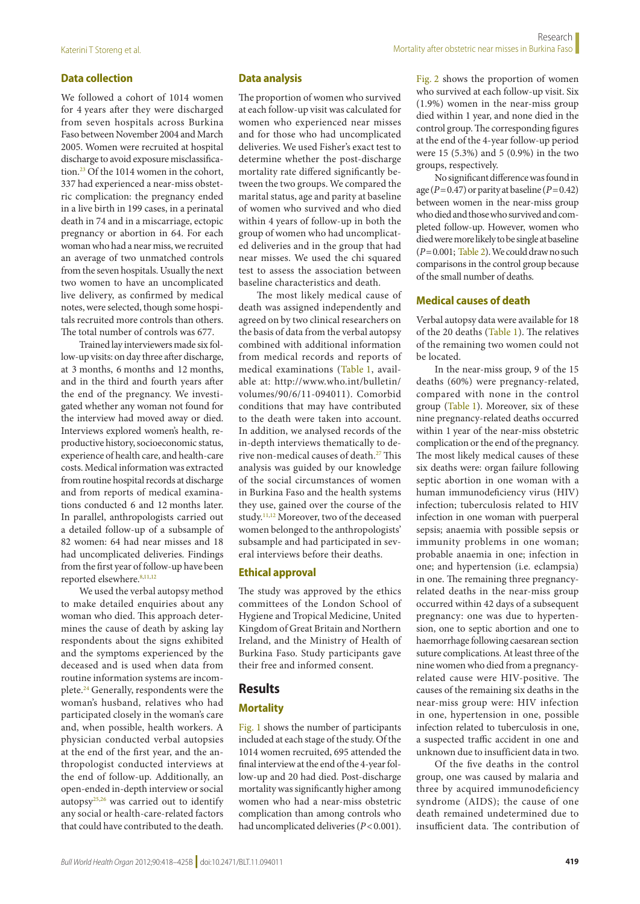## **Data collection**

We followed a cohort of 1014 women for 4 years after they were discharged from seven hospitals across Burkina Faso between November 2004 and March 2005. Women were recruited at hospital discharge to avoid exposure misclassification[.23](#page-7-18) Of the 1014 women in the cohort, 337 had experienced a near-miss obstetric complication: the pregnancy ended in a live birth in 199 cases, in a perinatal death in 74 and in a miscarriage, ectopic pregnancy or abortion in 64. For each woman who had a near miss, we recruited an average of two unmatched controls from the seven hospitals. Usually the next two women to have an uncomplicated live delivery, as confirmed by medical notes, were selected, though some hospitals recruited more controls than others. The total number of controls was 677.

Trained lay interviewers made six follow-up visits: on day three after discharge, at 3 months, 6 months and 12 months, and in the third and fourth years after the end of the pregnancy. We investigated whether any woman not found for the interview had moved away or died. Interviews explored women's health, reproductive history, socioeconomic status, experience of health care, and health-care costs. Medical information was extracted from routine hospital records at discharge and from reports of medical examinations conducted 6 and 12 months later. In parallel, anthropologists carried out a detailed follow-up of a subsample of 82 women: 64 had near misses and 18 had uncomplicated deliveries. Findings from the first year of follow-up have been reported elsewhere. 8,[11](#page-7-6)[,12](#page-7-7)

We used the verbal autopsy method to make detailed enquiries about any woman who died. This approach determines the cause of death by asking lay respondents about the signs exhibited and the symptoms experienced by the deceased and is used when data from routine information systems are incomplete.[24](#page-7-20) Generally, respondents were the woman's husband, relatives who had participated closely in the woman's care and, when possible, health workers. A physician conducted verbal autopsies at the end of the first year, and the anthropologist conducted interviews at the end of follow-up. Additionally, an open-ended in-depth interview or social autopsy<sup>[25](#page-7-21),26</sup> was carried out to identify any social or health-care-related factors that could have contributed to the death.

The proportion of women who survived at each follow-up visit was calculated for women who experienced near misses and for those who had uncomplicated deliveries. We used Fisher's exact test to determine whether the post-discharge mortality rate differed significantly between the two groups. We compared the marital status, age and parity at baseline of women who survived and who died within 4 years of follow-up in both the group of women who had uncomplicated deliveries and in the group that had near misses. We used the chi squared test to assess the association between baseline characteristics and death.

The most likely medical cause of death was assigned independently and agreed on by two clinical researchers on the basis of data from the verbal autopsy combined with additional information from medical records and reports of medical examinations ([Table](#page-8-0) 1, available at: [http://www.who.int/bulletin/](http://www.who.int/bulletin/volumes/90/6/11-094011) [volumes/90/6/11-094011](http://www.who.int/bulletin/volumes/90/6/11-094011)). Comorbid conditions that may have contributed to the death were taken into account. In addition, we analysed records of the in-depth interviews thematically to derive non-medical causes of death.[27](#page-7-23) This analysis was guided by our knowledge of the social circumstances of women in Burkina Faso and the health systems they use, gained over the course of the study.<sup>[11](#page-7-6),12</sup> Moreover, two of the deceased women belonged to the anthropologists' subsample and had participated in several interviews before their deaths.

## **Ethical approval**

The study was approved by the ethics committees of the London School of Hygiene and Tropical Medicine, United Kingdom of Great Britain and Northern Ireland, and the Ministry of Health of Burkina Faso. Study participants gave their free and informed consent.

#### **Results**

## **Mortality**

[Fig.](#page-2-0) 1 shows the number of participants included at each stage of the study. Of the 1014 women recruited, 695 attended the final interview at the end of the 4-year follow-up and 20 had died. Post-discharge mortality was significantly higher among women who had a near-miss obstetric complication than among controls who had uncomplicated deliveries ( $P < 0.001$ ).

[Fig.](#page-2-1) 2 shows the proportion of women who survived at each follow-up visit. Six (1.9%) women in the near-miss group died within 1 year, and none died in the control group. The corresponding figures at the end of the 4-year follow-up period were 15 (5.3%) and 5 (0.9%) in the two groups, respectively.

No significant difference was found in age  $(P=0.47)$  or parity at baseline  $(P=0.42)$ between women in the near-miss group who died and those who survived and completed follow-up. However, women who died were more likely to be single at baseline (*P*=0.001; [Table](#page-3-0) 2). We could draw no such comparisons in the control group because of the small number of deaths.

## **Medical causes of death**

Verbal autopsy data were available for 18 of the 20 deaths [\(Table](#page-8-0) 1). The relatives of the remaining two women could not be located.

In the near-miss group, 9 of the 15 deaths (60%) were pregnancy-related, compared with none in the control group ([Table](#page-8-0) 1). Moreover, six of these nine pregnancy-related deaths occurred within 1 year of the near-miss obstetric complication or the end of the pregnancy. The most likely medical causes of these six deaths were: organ failure following septic abortion in one woman with a human immunodeficiency virus (HIV) infection; tuberculosis related to HIV infection in one woman with puerperal sepsis; anaemia with possible sepsis or immunity problems in one woman; probable anaemia in one; infection in one; and hypertension (i.e. eclampsia) in one. The remaining three pregnancyrelated deaths in the near-miss group occurred within 42 days of a subsequent pregnancy: one was due to hypertension, one to septic abortion and one to haemorrhage following caesarean section suture complications. At least three of the nine women who died from a pregnancyrelated cause were HIV-positive. The causes of the remaining six deaths in the near-miss group were: HIV infection in one, hypertension in one, possible infection related to tuberculosis in one, a suspected traffic accident in one and unknown due to insufficient data in two.

Of the five deaths in the control group, one was caused by malaria and three by acquired immunodeficiency syndrome (AIDS); the cause of one death remained undetermined due to insufficient data. The contribution of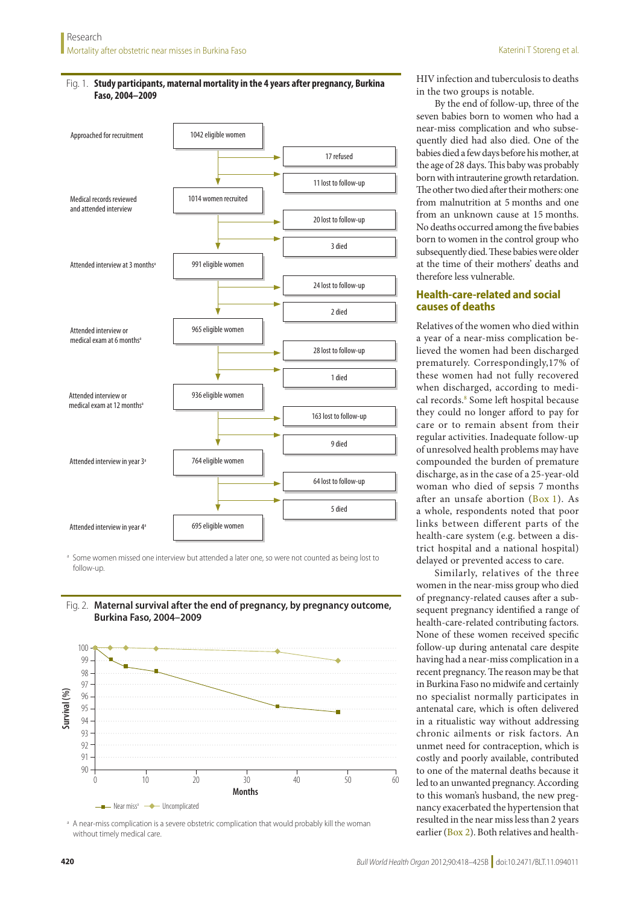<span id="page-2-0"></span>

<sup>a</sup> Some women missed one interview but attended a later one, so were not counted as being lost to follow-up.

## <span id="page-2-1"></span>Fig. 2. **Maternal survival after the end of pregnancy, by pregnancy outcome, Burkina Faso, 2004–2009**



<sup>a</sup> A near-miss complication is a severe obstetric complication that would probably kill the woman without timely medical care.

HIV infection and tuberculosis to deaths in the two groups is notable.

By the end of follow-up, three of the seven babies born to women who had a near-miss complication and who subsequently died had also died. One of the babies died a few days before his mother, at the age of 28 days. This baby was probably born with intrauterine growth retardation. The other two died after their mothers: one from malnutrition at 5 months and one from an unknown cause at 15 months. No deaths occurred among the five babies born to women in the control group who subsequently died. These babies were older at the time of their mothers' deaths and therefore less vulnerable.

## **Health-care-related and social causes of deaths**

Relatives of the women who died within a year of a near-miss complication believed the women had been discharged prematurely. Correspondingly,17% of these women had not fully recovered when discharged, according to medi-cal records.<sup>[8](#page-7-19)</sup> Some left hospital because they could no longer afford to pay for care or to remain absent from their regular activities. Inadequate follow-up of unresolved health problems may have compounded the burden of premature discharge, as in the case of a 25-year-old woman who died of sepsis 7 months after an unsafe abortion [\(Box](#page-3-1) 1). As a whole, respondents noted that poor links between different parts of the health-care system (e.g. between a district hospital and a national hospital) delayed or prevented access to care.

Similarly, relatives of the three women in the near-miss group who died of pregnancy-related causes after a subsequent pregnancy identified a range of health-care-related contributing factors. None of these women received specific follow-up during antenatal care despite having had a near-miss complication in a recent pregnancy. The reason may be that in Burkina Faso no midwife and certainly no specialist normally participates in antenatal care, which is often delivered in a ritualistic way without addressing chronic ailments or risk factors. An unmet need for contraception, which is costly and poorly available, contributed to one of the maternal deaths because it led to an unwanted pregnancy. According to this woman's husband, the new pregnancy exacerbated the hypertension that resulted in the near miss less than 2 years earlier [\(Box](#page-4-0) 2). Both relatives and health-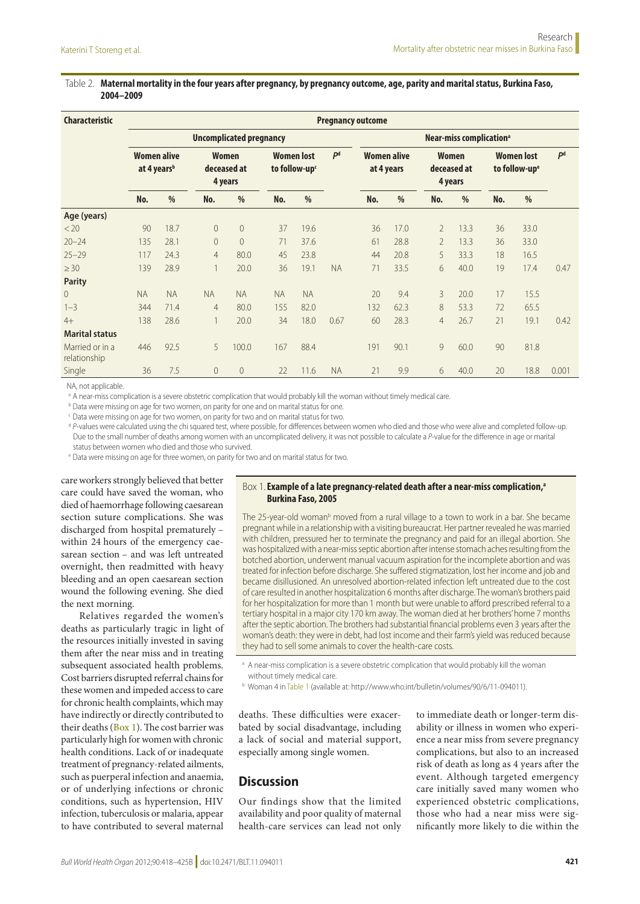## <span id="page-3-0"></span>Table 2. **Maternal mortality in the four years after pregnancy, by pregnancy outcome, age, parity and marital status, Burkina Faso, 2004–2009**

| <b>Characteristic</b>           |                                               |           |                                        |                                |           |                                                |                | <b>Pregnancy outcome</b> |                                  |                |                                        |     |                                                |                |
|---------------------------------|-----------------------------------------------|-----------|----------------------------------------|--------------------------------|-----------|------------------------------------------------|----------------|--------------------------|----------------------------------|----------------|----------------------------------------|-----|------------------------------------------------|----------------|
|                                 |                                               |           |                                        | <b>Uncomplicated pregnancy</b> |           |                                                |                |                          |                                  |                | Near-miss complication <sup>a</sup>    |     |                                                |                |
|                                 | <b>Women alive</b><br>at 4 years <sup>b</sup> |           | <b>Women</b><br>deceased at<br>4 years |                                |           | <b>Women lost</b><br>to follow-up <sup>c</sup> | P <sup>d</sup> |                          | <b>Women alive</b><br>at 4 years |                | <b>Women</b><br>deceased at<br>4 years |     | <b>Women lost</b><br>to follow-up <sup>e</sup> | P <sup>d</sup> |
|                                 | No.                                           | %         | No.                                    | %                              | No.       | %                                              |                | No.                      | %                                | No.            | %                                      | No. | %                                              |                |
| Age (years)                     |                                               |           |                                        |                                |           |                                                |                |                          |                                  |                |                                        |     |                                                |                |
| < 20                            | 90                                            | 18.7      | $\overline{0}$                         | $\overline{0}$                 | 37        | 19.6                                           |                | 36                       | 17.0                             | $\mathfrak{D}$ | 13.3                                   | 36  | 33.0                                           |                |
| $20 - 24$                       | 135                                           | 28.1      | $\overline{0}$                         | $\Omega$                       | 71        | 37.6                                           |                | 61                       | 28.8                             | $\mathfrak{D}$ | 13.3                                   | 36  | 33.0                                           |                |
| $25 - 29$                       | 117                                           | 24.3      | $\overline{4}$                         | 80.0                           | 45        | 23.8                                           |                | 44                       | 20.8                             | 5              | 33.3                                   | 18  | 16.5                                           |                |
| $\geq 30$                       | 139                                           | 28.9      | $\mathbf{1}$                           | 20.0                           | 36        | 19.1                                           | <b>NA</b>      | 71                       | 33.5                             | 6              | 40.0                                   | 19  | 17.4                                           | 0.47           |
| <b>Parity</b>                   |                                               |           |                                        |                                |           |                                                |                |                          |                                  |                |                                        |     |                                                |                |
| $\theta$                        | <b>NA</b>                                     | <b>NA</b> | <b>NA</b>                              | <b>NA</b>                      | <b>NA</b> | <b>NA</b>                                      |                | 20                       | 9.4                              | 3              | 20.0                                   | 17  | 15.5                                           |                |
| $1 - 3$                         | 344                                           | 71.4      | $\overline{4}$                         | 80.0                           | 155       | 82.0                                           |                | 132                      | 62.3                             | 8              | 53.3                                   | 72  | 65.5                                           |                |
| $4+$                            | 138                                           | 28.6      |                                        | 20.0                           | 34        | 18.0                                           | 0.67           | 60                       | 28.3                             | 4              | 26.7                                   | 21  | 19.1                                           | 0.42           |
| <b>Marital status</b>           |                                               |           |                                        |                                |           |                                                |                |                          |                                  |                |                                        |     |                                                |                |
| Married or in a<br>relationship | 446                                           | 92.5      | 5                                      | 100.0                          | 167       | 88.4                                           |                | 191                      | 90.1                             | 9              | 60.0                                   | 90  | 81.8                                           |                |
| Single                          | 36                                            | 7.5       | $\overline{0}$                         | $\overline{0}$                 | 22        | 11.6                                           | <b>NA</b>      | 21                       | 9.9                              | 6              | 40.0                                   | 20  | 18.8                                           | 0.001          |

NA, not applicable.

<sup>a</sup> A near-miss complication is a severe obstetric complication that would probably kill the woman without timely medical care.

**b** Data were missing on age for two women, on parity for one and on marital status for one.

<sup>c</sup> Data were missing on age for two women, on parity for two and on marital status for two.

<sup>d</sup> P-values were calculated using the chi squared test, where possible, for differences between women who died and those who were alive and completed follow-up. Due to the small number of deaths among women with an uncomplicated delivery, it was not possible to calculate a *P*-value for the difference in age or marital status between women who died and those who survived.

e Data were missing on age for three women, on parity for two and on marital status for two.

care workers strongly believed that better care could have saved the woman, who died of haemorrhage following caesarean section suture complications. She was discharged from hospital prematurely – within 24 hours of the emergency caesarean section – and was left untreated overnight, then readmitted with heavy bleeding and an open caesarean section wound the following evening. She died the next morning.

Relatives regarded the women's deaths as particularly tragic in light of the resources initially invested in saving them after the near miss and in treating subsequent associated health problems. Cost barriers disrupted referral chains for these women and impeded access to care for chronic health complaints, which may have indirectly or directly contributed to their deaths [\(Box](#page-3-1) 1). The cost barrier was particularly high for women with chronic health conditions. Lack of or inadequate treatment of pregnancy-related ailments, such as puerperal infection and anaemia, or of underlying infections or chronic conditions, such as hypertension, HIV infection, tuberculosis or malaria, appear to have contributed to several maternal

#### <span id="page-3-1"></span>Box 1. **Example of a late pregnancy-related death after a near-miss complication,<sup>a</sup> Burkina Faso, 2005**

The 25-year-old woman<sup>b</sup> moved from a rural village to a town to work in a bar. She became pregnant while in a relationship with a visiting bureaucrat. Her partner revealed he was married with children, pressured her to terminate the pregnancy and paid for an illegal abortion. She was hospitalized with a near-miss septic abortion after intense stomach aches resulting from the botched abortion, underwent manual vacuum aspiration for the incomplete abortion and was treated for infection before discharge. She suffered stigmatization, lost her income and job and became disillusioned. An unresolved abortion-related infection left untreated due to the cost of care resulted in another hospitalization 6 months after discharge. The woman's brothers paid for her hospitalization for more than 1 month but were unable to afford prescribed referral to a tertiary hospital in a major city 170 km away. The woman died at her brothers' home 7 months after the septic abortion. The brothers had substantial financial problems even 3 years after the woman's death: they were in debt, had lost income and their farm's yield was reduced because they had to sell some animals to cover the health-care costs.

<sup>a</sup> A near-miss complication is a severe obstetric complication that would probably kill the woman without timely medical care.

<sup>b</sup> Woman 4 in [Table](#page-8-0) 1 (available at: <http://www.who.int/bulletin/volumes/90/6/11-094011>).

deaths. These difficulties were exacerbated by social disadvantage, including a lack of social and material support, especially among single women.

## **Discussion**

Our findings show that the limited availability and poor quality of maternal health-care services can lead not only to immediate death or longer-term disability or illness in women who experience a near miss from severe pregnancy complications, but also to an increased risk of death as long as 4 years after the event. Although targeted emergency care initially saved many women who experienced obstetric complications, those who had a near miss were significantly more likely to die within the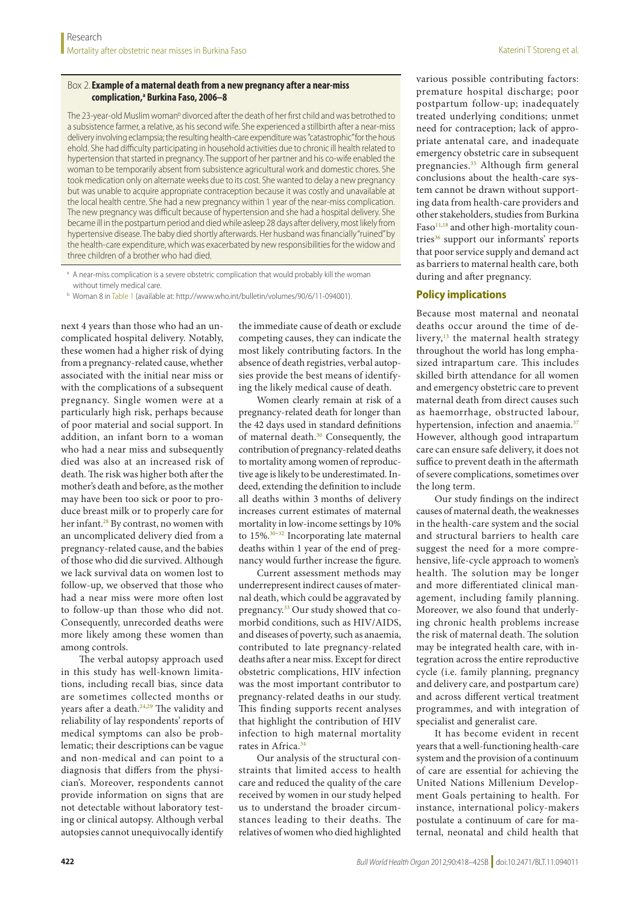#### <span id="page-4-0"></span>Box 2.**Example of a maternal death from a new pregnancy after a near-miss complication,a Burkina Faso, 2006–8**

The 23-year-old Muslim woman<sup>b</sup> divorced after the death of her first child and was betrothed to a subsistence farmer, a relative, as his second wife. She experienced a stillbirth after a near-miss delivery involving eclampsia; the resulting health-care expenditure was "catastrophic" for the hous ehold. She had difficulty participating in household activities due to chronic ill health related to hypertension that started in pregnancy. The support of her partner and his co-wife enabled the woman to be temporarily absent from subsistence agricultural work and domestic chores. She took medication only on alternate weeks due to its cost. She wanted to delay a new pregnancy but was unable to acquire appropriate contraception because it was costly and unavailable at the local health centre. She had a new pregnancy within 1 year of the near-miss complication. The new pregnancy was difficult because of hypertension and she had a hospital delivery. She became ill in the postpartum period and died while asleep 28 days after delivery, most likely from hypertensive disease. The baby died shortly afterwards. Her husband was financially "ruined" by the health-care expenditure, which was exacerbated by new responsibilities for the widow and three children of a brother who had died.

next 4 years than those who had an uncomplicated hospital delivery. Notably, these women had a higher risk of dying from a pregnancy-related cause, whether associated with the initial near miss or with the complications of a subsequent pregnancy. Single women were at a particularly high risk, perhaps because of poor material and social support. In addition, an infant born to a woman who had a near miss and subsequently died was also at an increased risk of death. The risk was higher both after the mother's death and before, as the mother may have been too sick or poor to produce breast milk or to properly care for her infant.<sup>[28](#page-7-24)</sup> By contrast, no women with an uncomplicated delivery died from a pregnancy-related cause, and the babies of those who did die survived. Although we lack survival data on women lost to follow-up, we observed that those who had a near miss were more often lost to follow-up than those who did not. Consequently, unrecorded deaths were more likely among these women than among controls.

The verbal autopsy approach used in this study has well-known limitations, including recall bias, since data are sometimes collected months or years after a death.<sup>[24](#page-7-20),[29](#page-7-25)</sup> The validity and reliability of lay respondents' reports of medical symptoms can also be problematic; their descriptions can be vague and non-medical and can point to a diagnosis that differs from the physician's. Moreover, respondents cannot provide information on signs that are not detectable without laboratory testing or clinical autopsy. Although verbal autopsies cannot unequivocally identify

the immediate cause of death or exclude competing causes, they can indicate the most likely contributing factors. In the absence of death registries, verbal autopsies provide the best means of identifying the likely medical cause of death.

Women clearly remain at risk of a pregnancy-related death for longer than the 42 days used in standard definitions of maternal death[.30](#page-7-26) Consequently, the contribution of pregnancy-related deaths to mortality among women of reproductive age is likely to be underestimated. Indeed, extending the definition to include all deaths within 3 months of delivery increases current estimates of maternal mortality in low-income settings by 10% to 15%.<sup>30-32</sup> Incorporating late maternal deaths within 1 year of the end of pregnancy would further increase the figure.

Current assessment methods may underrepresent indirect causes of maternal death, which could be aggravated by pregnancy[.33](#page-7-28) Our study showed that comorbid conditions, such as HIV/AIDS, and diseases of poverty, such as anaemia, contributed to late pregnancy-related deaths after a near miss. Except for direct obstetric complications, HIV infection was the most important contributor to pregnancy-related deaths in our study. This finding supports recent analyses that highlight the contribution of HIV infection to high maternal mortality rates in Africa.<sup>34</sup>

Our analysis of the structural constraints that limited access to health care and reduced the quality of the care received by women in our study helped us to understand the broader circumstances leading to their deaths. The relatives of women who died highlighted

various possible contributing factors: premature hospital discharge; poor postpartum follow-up; inadequately treated underlying conditions; unmet need for contraception; lack of appropriate antenatal care, and inadequate emergency obstetric care in subsequent pregnancies.[35](#page-7-30) Although firm general conclusions about the health-care system cannot be drawn without supporting data from health-care providers and other stakeholders, studies from Burkina Faso<sup>[11](#page-7-6),[18](#page-7-13)</sup> and other high-mortality countries<sup>36</sup> support our informants' reports that poor service supply and demand act as barriers to maternal health care, both during and after pregnancy.

#### **Policy implications**

Because most maternal and neonatal deaths occur around the time of delivery, $13$  the maternal health strategy throughout the world has long emphasized intrapartum care. This includes skilled birth attendance for all women and emergency obstetric care to prevent maternal death from direct causes such as haemorrhage, obstructed labour, hypertension, infection and anaemia.<sup>37</sup> However, although good intrapartum care can ensure safe delivery, it does not suffice to prevent death in the aftermath of severe complications, sometimes over the long term.

Our study findings on the indirect causes of maternal death, the weaknesses in the health-care system and the social and structural barriers to health care suggest the need for a more comprehensive, life-cycle approach to women's health. The solution may be longer and more differentiated clinical management, including family planning. Moreover, we also found that underlying chronic health problems increase the risk of maternal death. The solution may be integrated health care, with integration across the entire reproductive cycle (i.e. family planning, pregnancy and delivery care, and postpartum care) and across different vertical treatment programmes, and with integration of specialist and generalist care.

It has become evident in recent years that a well-functioning health-care system and the provision of a continuum of care are essential for achieving the United Nations Millenium Development Goals pertaining to health. For instance, international policy-makers postulate a continuum of care for maternal, neonatal and child health that

<sup>&</sup>lt;sup>a</sup> A near-miss complication is a severe obstetric complication that would probably kill the woman without timely medical care.

<sup>b</sup> Woman 8 in [Table](#page-8-0) 1 (available at: <http://www.who.int/bulletin/volumes/90/6/11-094001>).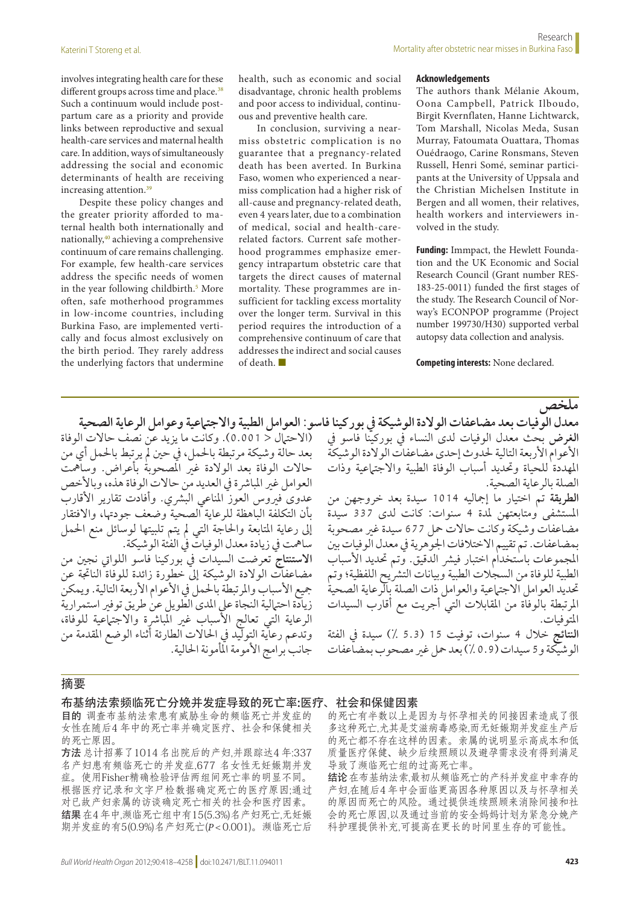involves integrating health care for these different groups across time and place.<sup>[38](#page-7-33)</sup> Such a continuum would include postpartum care as a priority and provide links between reproductive and sexual health-care services and maternal health care. In addition, ways of simultaneously addressing the social and economic determinants of health are receiving increasing attention.[39](#page-7-34)

Despite these policy changes and the greater priority afforded to maternal health both internationally and nationally[,40](#page-7-35) achieving a comprehensive continuum of care remains challenging. For example, few health-care services address the specific needs of women in the year following childbirth.[5](#page-7-4) More often, safe motherhood programmes in low-income countries, including Burkina Faso, are implemented vertically and focus almost exclusively on the birth period. They rarely address the underlying factors that undermine

health, such as economic and social disadvantage, chronic health problems and poor access to individual, continuous and preventive health care.

In conclusion, surviving a nearmiss obstetric complication is no guarantee that a pregnancy-related death has been averted. In Burkina Faso, women who experienced a nearmiss complication had a higher risk of all-cause and pregnancy-related death, even 4 years later, due to a combination of medical, social and health-carerelated factors. Current safe motherhood programmes emphasize emergency intrapartum obstetric care that targets the direct causes of maternal mortality. These programmes are insufficient for tackling excess mortality over the longer term. Survival in this period requires the introduction of a comprehensive continuum of care that addresses the indirect and social causes of death.<sup>■</sup>

#### **Acknowledgements**

The authors thank Mélanie Akoum, Oona Campbell, Patrick Ilboudo, Birgit Kvernflaten, Hanne Lichtwarck, Tom Marshall, Nicolas Meda, Susan Murray, Fatoumata Ouattara, Thomas Ouédraogo, Carine Ronsmans, Steven Russell, Henri Somé, seminar participants at the University of Uppsala and the Christian Michelsen Institute in Bergen and all women, their relatives, health workers and interviewers involved in the study.

**Funding:** Immpact, the Hewlett Foundation and the UK Economic and Social Research Council (Grant number RES-183-25-0011) funded the first stages of the study. The Research Council of Norway's ECONPOP programme (Project number 199730/H30) supported verbal autopsy data collection and analysis.

**Competing interests:** None declared.

**ملخص**

)االحتامل > 0.001(. وكانت ما يزيد عن نصف حاالت الوفاة بعد حالة وشيكة مرتبطة باحلمل، يف حني مل يرتبط باحلمل أي من حاالت الوفاة بعد الوالدة غري املصحوبة بأعراض. وسامهت العوامل غير المباشرة في العديد من حالات الوفاة هذه، وبالأخص عدوى فيروس العوز المناعي البشري. وأفادت تقارير الأقارب بأن التكلفة الباهظة للرعاية الصحية وضعف جودهتا، واالفتقار إىل رعاية املتابعة واحلاجة التي مل يتم تلبيتها لوسائل منع احلمل سامهت يف زيادة معدل الوفيات يف الفئة الوشيكة. **الاستنتاج تعرضت السيدات في بوركينا فاسو اللواتي نجين من** مضاعفات الوالدة الوشيكة إىل خطورة زائدة للوفاة الناجتة عن جميع الأسباب والمرتبطة بالحمل في الأعوام الأربعة التالية. ويمكن زيادة احتالية النجاة على المدى الطويل عن طريق توفير استمرارية الرعاية التي تعالج الأسباب غير المباشرة والاجتماعية للوفاة، وتدعم رعاية التوليد في الحالات الطارئة أثناء الوضع المقدمة من جانب برامج الأمومة المأمونة الحالية.

**معدل الوفيات بعد مضاعفات الوالدة الوشيكة يف بوركينا فاسو: العوامل الطبية واالجتامعية وعوامل الرعاية الصحية الغرض** بحث معدل الوفيات لدى النساء يف بوركينا فاسو يف الأعوام الأربعة التالية لحدوث إحدى مضاعفات الولادة الوشيكة المهددة للحياة وتحديد أسباب الوفاة الطبية والاجتماعية وذات الصلة بالرعاية الصحية.

**الطريقة** تم اختيار ما إمجاليه 1014 سيدة بعد خروجهن من املستشفى ومتابعتهن ملدة 4 سنوات: كانت لدى 337 سيدة مضاعفات وشيكة وكانت حالات حمل 677 سيدة غير مصحوبة بمضاعفات. تم تقييم االختالفات اجلوهرية يف معدل الوفيات بني المجموعات باستخدام اختبار فيشر الدقيق. وتم تحديد الأسباب الطبية للوفاة من السجلات الطبية وبيانات التشريح اللفظية؛ وتم حتديد العوامل االجتامعية والعوامل ذات الصلة بالرعاية الصحية املرتبطة بالوفاة من املقابالت التي أجريت مع أقارب السيدات املتوفيات. **النتائج** خالل 4 سنوات، توفيت 15 )5.3 %( سيدة يف الفئة

الو شيكة و5 سيدات (0.9 ٪) بعد حمل غير مصحوب بمضاًعفات

## 摘要

布基纳法索频临死亡分娩并发症导致的死亡率:医疗、社会和保健因素

目的 调查布基纳法索患有威胁生命的频临死亡并发症的 女性在随后4 年中的死亡率并确定医疗、社会和保健相关 的死亡原因。

方法 总计招募了1014 名出院后的产妇,并跟踪达4 年:337 名产妇患有频临死亡的并发症,677 名女性无妊娠期并发 症。使用Fisher精确检验评估两组间死亡率的明显不同。 根据医疗记录和文字尸检数据确定死亡的医疗原因;通过 对已故产妇亲属的访谈确定死亡相关的社会和医疗因素。 结果 在4 年中,濒临死亡组中有15(5.3%)名产妇死亡,无妊娠 期并发症的有5(0.9%)名产妇死亡(*P* < 0.001)。濒临死亡后

的死亡有半数以上是因为与怀孕相关的间接因素造成了很 多这种死亡,尤其是艾滋病毒感染,而无妊娠期并发症生产后 的死亡都不存在这样的因素。亲属的说明显示高成本和低 质量医疗保健、缺少后续照顾以及避孕需求没有得到满足 导致了濒临死亡组的过高死亡率。

结论 在布基纳法索,最初从频临死亡的产科并发症中幸存的 产妇,在随后4 年中会面临更高因各种原因以及与怀孕相关 的原因而死亡的风险。通过提供连续照顾来消除间接和社 会的死亡原因,以及通过当前的安全妈妈计划为紧急分娩产 科护理提供补充,可提高在更长的时间里生存的可能性。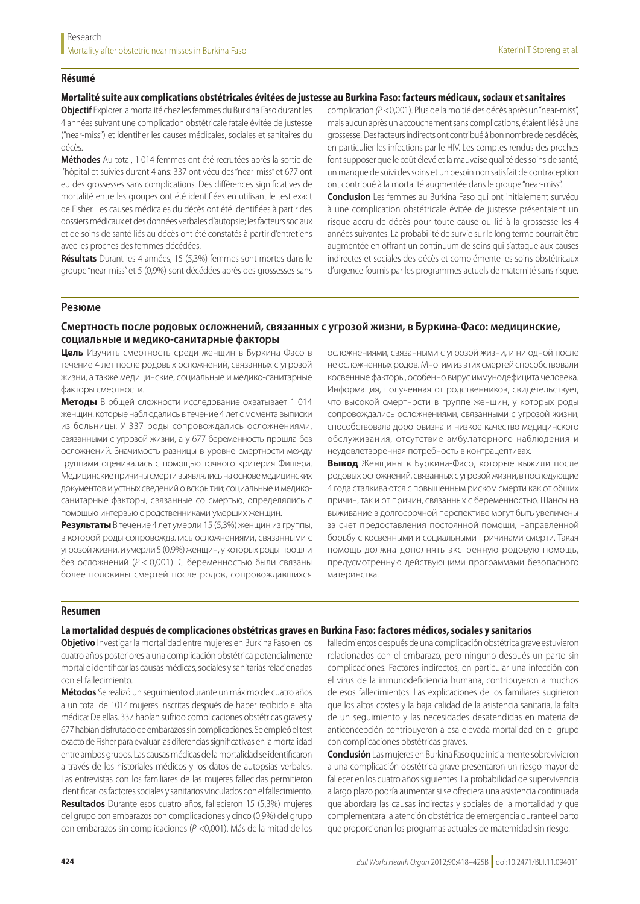## **Résumé**

#### **Mortalité suite aux complications obstétricales évitées de justesse au Burkina Faso: facteurs médicaux, sociaux et sanitaires**

**Objectif** Explorer la mortalité chez les femmes du Burkina Faso durant les 4 années suivant une complication obstétricale fatale évitée de justesse ("near-miss") et identifier les causes médicales, sociales et sanitaires du décès.

**Méthodes** Au total, 1 014 femmes ont été recrutées après la sortie de l'hôpital et suivies durant 4 ans: 337 ont vécu des "near-miss" et 677 ont eu des grossesses sans complications. Des différences significatives de mortalité entre les groupes ont été identifiées en utilisant le test exact de Fisher. Les causes médicales du décès ont été identifiées à partir des dossiers médicaux et des données verbales d'autopsie; les facteurs sociaux et de soins de santé liés au décès ont été constatés à partir d'entretiens avec les proches des femmes décédées.

**Résultats** Durant les 4 années, 15 (5,3%) femmes sont mortes dans le groupe "near-miss" et 5 (0,9%) sont décédées après des grossesses sans complication *(P* <0,001). Plus de la moitié des décès après un "near-miss", mais aucun après un accouchement sans complications, étaient liés à une grossesse. Des facteurs indirects ont contribué à bon nombre de ces décès, en particulier les infections par le HIV. Les comptes rendus des proches font supposer que le coût élevé et la mauvaise qualité des soins de santé, un manque de suivi des soins et un besoin non satisfait de contraception ont contribué à la mortalité augmentée dans le groupe "near-miss".

**Conclusion** Les femmes au Burkina Faso qui ont initialement survécu à une complication obstétricale évitée de justesse présentaient un risque accru de décès pour toute cause ou lié à la grossesse les 4 années suivantes. La probabilité de survie sur le long terme pourrait être augmentée en offrant un continuum de soins qui s'attaque aux causes indirectes et sociales des décès et complémente les soins obstétricaux d'urgence fournis par les programmes actuels de maternité sans risque.

#### **Резюме**

## **Смертность после родовых осложнений, связанных с угрозой жизни, в Буркина-Фасо: медицинские, социальные и медико-санитарные факторы**

**Цель** Изучить смертность среди женщин в Буркина-Фасо в течение 4 лет после родовых осложнений, связанных с угрозой жизни, а также медицинские, социальные и медико-санитарные факторы смертности.

**Методы** В общей сложности исследование охватывает 1 014 женщин, которые наблюдались в течение 4 лет с момента выписки из больницы: У 337 роды сопровождались осложнениями, связанными с угрозой жизни, а у 677 беременность прошла без осложнений. Значимость разницы в уровне смертности между группами оценивалась с помощью точного критерия Фишера. Медицинские причины смерти выявлялись на основе медицинских документов и устных сведений о вскрытии; социальные и медикосанитарные факторы, связанные со смертью, определялись с помощью интервью с родственниками умерших женщин.

**Результаты** В течение 4 лет умерли 15 (5,3%) женщин из группы, в которой роды сопровождались осложнениями, связанными с угрозой жизни, и умерли 5 (0,9%) женщин, у которых роды прошли без осложнений (*P* < 0,001). С беременностью были связаны более половины смертей после родов, сопровождавшихся

осложнениями, связанными с угрозой жизни, и ни одной после не осложненных родов. Многим из этих смертей способствовали косвенные факторы, особенно вирус иммунодефицита человека. Информация, полученная от родственников, свидетельствует, что высокой смертности в группе женщин, у которых роды сопровождались осложнениями, связанными с угрозой жизни, способствовала дороговизна и низкое качество медицинского обслуживания, отсутствие амбулаторного наблюдения и неудовлетворенная потребность в контрацептивах.

**Вывод** Женщины в Буркина-Фасо, которые выжили после родовых осложнений, связанных с угрозой жизни, в последующие 4 года сталкиваются с повышенным риском смерти как от общих причин, так и от причин, связанных с беременностью. Шансы на выживание в долгосрочной перспективе могут быть увеличены за счет предоставления постоянной помощи, направленной борьбу с косвенными и социальными причинами смерти. Такая помощь должна дополнять экстренную родовую помощь, предусмотренную действующими программами безопасного материнства.

#### **Resumen**

## **La mortalidad después de complicaciones obstétricas graves en Burkina Faso: factores médicos, sociales y sanitarios**

**Objetivo** Investigar la mortalidad entre mujeres en Burkina Faso en los cuatro años posteriores a una complicación obstétrica potencialmente mortal e identificar las causas médicas, sociales y sanitarias relacionadas con el fallecimiento.

**Métodos** Se realizó un seguimiento durante un máximo de cuatro años a un total de 1014 mujeres inscritas después de haber recibido el alta médica: De ellas, 337 habían sufrido complicaciones obstétricas graves y 677 habían disfrutado de embarazos sin complicaciones. Se empleó el test exacto de Fisher para evaluar las diferencias significativas en la mortalidad entre ambos grupos. Las causas médicas de la mortalidad se identificaron a través de los historiales médicos y los datos de autopsias verbales. Las entrevistas con los familiares de las mujeres fallecidas permitieron identificar los factores sociales y sanitarios vinculados con el fallecimiento. **Resultados** Durante esos cuatro años, fallecieron 15 (5,3%) mujeres del grupo con embarazos con complicaciones y cinco (0,9%) del grupo con embarazos sin complicaciones (*P* <0,001). Más de la mitad de los

fallecimientos después de una complicación obstétrica grave estuvieron relacionados con el embarazo, pero ninguno después un parto sin complicaciones. Factores indirectos, en particular una infección con el virus de la inmunodeficiencia humana, contribuyeron a muchos de esos fallecimientos. Las explicaciones de los familiares sugirieron que los altos costes y la baja calidad de la asistencia sanitaria, la falta de un seguimiento y las necesidades desatendidas en materia de anticoncepción contribuyeron a esa elevada mortalidad en el grupo con complicaciones obstétricas graves.

**Conclusión** Las mujeres en Burkina Faso que inicialmente sobrevivieron a una complicación obstétrica grave presentaron un riesgo mayor de fallecer en los cuatro años siguientes. La probabilidad de supervivencia a largo plazo podría aumentar si se ofreciera una asistencia continuada que abordara las causas indirectas y sociales de la mortalidad y que complementara la atención obstétrica de emergencia durante el parto que proporcionan los programas actuales de maternidad sin riesgo.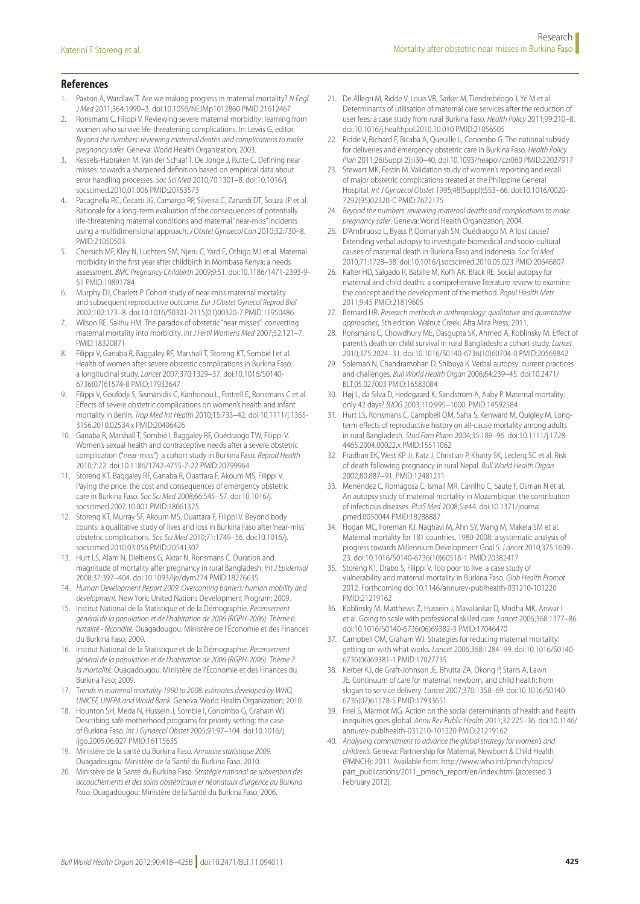## **References**

- <span id="page-7-0"></span>1. Paxton A, Wardlaw T. Are we making progress in maternal mortality? *N Engl J Med* 2011;364:1990–3. doi[:10.1056/NEJMp1012860](http://dx.doi.org/10.1056/NEJMp1012860) PMID:[21612467](http://www.ncbi.nlm.nih.gov/pubmed/21612467)
- <span id="page-7-1"></span>2. Ronsmans C, Filippi V. Reviewing severe maternal morbidity: learning from women who survive life-threatening complications. In: Lewis G, editor. *Beyond the numbers: reviewing maternal deaths and complications to make pregnancy safer.* Geneva: World Health Organization; 2003.
- <span id="page-7-2"></span>3. Kessels-Habraken M, Van der Schaaf T, De Jonge J, Rutte C. Defining near misses: towards a sharpened definition based on empirical data about error handling processes. *Soc Sci Med* 2010;70:1301–8. doi[:10.1016/j.](http://dx.doi.org/10.1016/j.socscimed.2010.01.006) [socscimed.2010.01.006](http://dx.doi.org/10.1016/j.socscimed.2010.01.006) PMID[:20153573](http://www.ncbi.nlm.nih.gov/pubmed/20153573)
- <span id="page-7-3"></span>4. Pacagnella RC, Cecatti JG, Camargo RP, Silveira C, Zanardi DT, Souza JP et al. Rationale for a long-term evaluation of the consequences of potentially life-threatening maternal conditions and maternal "near-miss" incidents using a multidimensional approach. *J Obstet Gynaecol Can* 2010;32:730–8. PMID:[21050503](http://www.ncbi.nlm.nih.gov/pubmed/21050503)
- <span id="page-7-4"></span>5. Chersich MF, Kley N, Luchters SM, Njeru C, Yard E, Othigo MJ et al. Maternal morbidity in the first year after childbirth in Mombasa Kenya; a needs assessment. *BMC Pregnancy Childbirth* 2009;9:51. doi[:10.1186/1471-2393-9-](http://dx.doi.org/10.1186/1471-2393-9-51) [51](http://dx.doi.org/10.1186/1471-2393-9-51) PMID:[19891784](http://www.ncbi.nlm.nih.gov/pubmed/19891784)
- 6. Murphy DJ, Charlett P. Cohort study of near-miss maternal mortality and subsequent reproductive outcome. *Eur J Obstet Gynecol Reprod Biol* 2002;102:173–8. doi:[10.1016/S0301-2115\(01\)00320-7](http://dx.doi.org/10.1016/S0301-2115(01)00320-7) PMID:[11950486](http://www.ncbi.nlm.nih.gov/pubmed/11950486)
- Wilson RE, Salihu HM. The paradox of obstetric "near misses": converting maternal mortality into morbidity. *Int J Fertil Womens Med* 2007;52:121–7. PMID:[18320871](http://www.ncbi.nlm.nih.gov/pubmed/18320871)
- <span id="page-7-19"></span>8. Filippi V, Ganaba R, Baggaley RF, Marshall T, Storeng KT, Sombié I et al. Health of women after severe obstetric complications in Burkina Faso: a longitudinal study. *Lancet* 2007;370:1329–37. doi:[10.1016/S0140-](http://dx.doi.org/10.1016/S0140-6736(07)61574-8) [6736\(07\)61574-8](http://dx.doi.org/10.1016/S0140-6736(07)61574-8) PMID[:17933647](http://www.ncbi.nlm.nih.gov/pubmed/17933647)
- 9. Filippi V, Goufodji S, Sismanidis C, Kanhonou L, Fottrell E, Ronsmans C et al. Effects of severe obstetric complications on women's health and infant mortality in Benin. *Trop Med Int Health* 2010;15:733–42. doi:[10.1111/j.1365-](http://dx.doi.org/10.1111/j.1365-3156.2010.02534.x) [3156.2010.02534.x](http://dx.doi.org/10.1111/j.1365-3156.2010.02534.x) PMID[:20406426](http://www.ncbi.nlm.nih.gov/pubmed/20406426)
- <span id="page-7-5"></span>10. Ganaba R, Marshall T, Sombié I, Baggaley RF, Ouédraogo TW, Filippi V. Women's sexual health and contraceptive needs after a severe obstetric complication ("near-miss"): a cohort study in Burkina Faso. *Reprod Health* 2010;7:22. doi[:10.1186/1742-4755-7-22](http://dx.doi.org/10.1186/1742-4755-7-22) PMID[:20799964](http://www.ncbi.nlm.nih.gov/pubmed/20799964)
- <span id="page-7-6"></span>11. Storeng KT, Baggaley RF, Ganaba R, Ouattara F, Akoum MS, Filippi V. Paying the price: the cost and consequences of emergency obstetric care in Burkina Faso. *Soc Sci Med* 2008;66:545–57. doi[:10.1016/j.](http://dx.doi.org/10.1016/j.socscimed.2007.10.001) [socscimed.2007.10.001](http://dx.doi.org/10.1016/j.socscimed.2007.10.001) PMID[:18061325](http://www.ncbi.nlm.nih.gov/pubmed/18061325)
- <span id="page-7-7"></span>12. Storeng KT, Murray SF, Akoum MS, Ouattara F, Filippi V. Beyond body counts: a qualitative study of lives and loss in Burkina Faso after 'near-miss' obstetric complications. *Soc Sci Med* 2010;71:1749–56. doi:[10.1016/j.](http://dx.doi.org/10.1016/j.socscimed.2010.03.056) [socscimed.2010.03.056](http://dx.doi.org/10.1016/j.socscimed.2010.03.056) PMID[:20541307](http://www.ncbi.nlm.nih.gov/pubmed/20541307)
- <span id="page-7-8"></span>13. Hurt LS, Alam N, Dieltiens G, Aktar N, Ronsmans C. Duration and magnitude of mortality after pregnancy in rural Bangladesh. *Int J Epidemiol* 2008;37:397–404. doi[:10.1093/ije/dym274](http://dx.doi.org/10.1093/ije/dym274) PMID:[18276635](http://www.ncbi.nlm.nih.gov/pubmed/18276635)
- <span id="page-7-9"></span>14. *Human Development Report 2009. Overcoming barriers: human mobility and development.* New York: United Nations Development Program; 2009.
- <span id="page-7-10"></span>15. Institut National de la Statistique et de la Démographie. *Recensement général de la population et de l'habitation de 2006 (RGPH-2006). Thème 6: natalité - fécondité.* Ouagadougou: Ministère de l'Économie et des Finances du Burkina Faso; 2009.
- <span id="page-7-11"></span>16. Institut National de la Statistique et de la Démographie. *Recensement général de la population et de l'habitation de 2006 (RGPH-2006). Thème 7: la mortalité.* Ouagadougou: Ministère de l'Économie et des Finances du Burkina Faso; 2009.
- <span id="page-7-12"></span>17. T*rends in maternal mortality 1990 to 2008: estimates developed by WHO, UNICEF, UNFPA and World Bank*. Geneva: World Health Organization; 2010.
- <span id="page-7-13"></span>18. Hounton SH, Meda N, Hussein J, Sombie I, Conombo G, Graham WJ. Describing safe motherhood programs for priority setting: the case of Burkina Faso. *Int J Gynaecol Obstet* 2005;91:97–104. doi[:10.1016/j.](http://dx.doi.org/10.1016/j.ijgo.2005.06.027) [ijgo.2005.06.027](http://dx.doi.org/10.1016/j.ijgo.2005.06.027) PMID:[16115635](http://www.ncbi.nlm.nih.gov/pubmed/16115635)
- <span id="page-7-14"></span>19. Ministère de la santé du Burkina Faso. *Annuaire statistique 2009.*  Ouagadougou: Ministère de la Santé du Burkina Faso; 2010.
- <span id="page-7-15"></span>20. Ministère de la Santé du Burkina Faso. *Stratégie national de subvention des accouchements et des soins obstétricaux er néonataux d'urgence au Burkina Faso.* Ouagadougou: Ministère de la Santé du Burkina Faso; 2006.
- <span id="page-7-16"></span>21. De Allegri M, Ridde V, Louis VR, Sarker M, Tiendrebéogo J, Yé M et al. Determinants of utilisation of maternal care services after the reduction of user fees: a case study from rural Burkina Faso. *Health Policy* 2011;99:210–8. doi:[10.1016/j.healthpol.2010.10.010](http://dx.doi.org/10.1016/j.healthpol.2010.10.010) PMID:[21056505](http://www.ncbi.nlm.nih.gov/pubmed/21056505)
- <span id="page-7-17"></span>22. Ridde V, Richard F, Bicaba A, Queuille L, Conombo G. The national subsidy for deliveries and emergency obstetric care in Burkina Faso. *Health Policy Plan* 2011;26(Suppl 2):ii30–40. doi:[10.1093/heapol/czr060](http://dx.doi.org/10.1093/heapol/czr060) PMID:[22027917](http://www.ncbi.nlm.nih.gov/pubmed/22027917)
- <span id="page-7-18"></span>23. Stewart MK, Festin M. Validation study of women's reporting and recall of major obstetric complications treated at the Philippine General Hospital. *Int J Gynaecol Obstet* 1995;48(Suppl):S53–66. doi[:10.1016/0020-](http://dx.doi.org/10.1016/0020-7292(95)02320-C) [7292\(95\)02320-C](http://dx.doi.org/10.1016/0020-7292(95)02320-C) PMID:[7672175](http://www.ncbi.nlm.nih.gov/pubmed/7672175)
- <span id="page-7-20"></span>24. *Beyond the numbers: reviewing maternal deaths and complications to make pregnancy safer*. Geneva: World Health Organization; 2004.
- <span id="page-7-21"></span>25. D'Ambruoso L, Byass P, Qomariyah SN, Ouédraogo M. A lost cause? Extending verbal autopsy to investigate biomedical and socio-cultural causes of maternal death in Burkina Faso and Indonesia. *Soc Sci Med* 2010;71:1728–38. doi[:10.1016/j.socscimed.2010.05.023](http://dx.doi.org/10.1016/j.socscimed.2010.05.023) PMID[:20646807](http://www.ncbi.nlm.nih.gov/pubmed/20646807)
- <span id="page-7-22"></span>26. Kalter HD, Salgado R, Babille M, Koffi AK, Black RE. Social autopsy for maternal and child deaths: a comprehensive literature review to examine the concept and the development of the method. *Popul Health Metr* 2011;9:45 PMID[:21819605](http://www.ncbi.nlm.nih.gov/pubmed/21819605)
- <span id="page-7-23"></span>27. Bernard HR. *Research methods in anthropology: qualitative and quantitative approaches*, 5th edition. Walnut Creek: Alta Mira Press; 2011.
- <span id="page-7-24"></span>28. Ronsmans C, Chowdhury ME, Dasgupta SK, Ahmed A, Koblinsky M. Effect of parent's death on child survival in rural Bangladesh: a cohort study. *Lancet* 2010;375:2024–31. doi[:10.1016/S0140-6736\(10\)60704-0](http://dx.doi.org/10.1016/S0140-6736(10)60704-0) PMID:[20569842](http://www.ncbi.nlm.nih.gov/pubmed/20569842)
- <span id="page-7-25"></span>29. Soleman N, Chandramohan D, Shibuya K. Verbal autopsy: current practices and challenges. *Bull World Health Organ* 2006;84:239–45. doi:[10.2471/](http://dx.doi.org/10.2471/BLT.05.027003) [BLT.05.027003](http://dx.doi.org/10.2471/BLT.05.027003) PMID[:16583084](http://www.ncbi.nlm.nih.gov/pubmed/16583084)
- <span id="page-7-26"></span>30. Høj L, da Silva D, Hedegaard K, Sandström A, Aaby P. Maternal mortality: only 42 days? *BJOG* 2003;110:995–1000. PMID:[14592584](http://www.ncbi.nlm.nih.gov/pubmed/14592584)
- 31. Hurt LS, Ronsmans C, Campbell OM, Saha S, Kenward M, Quigley M. Longterm effects of reproductive history on all-cause mortality among adults in rural Bangladesh. *Stud Fam Plann* 2004;35:189–96. doi[:10.1111/j.1728-](http://dx.doi.org/10.1111/j.1728-4465.2004.00022.x) [4465.2004.00022.x](http://dx.doi.org/10.1111/j.1728-4465.2004.00022.x) PMID[:15511062](http://www.ncbi.nlm.nih.gov/pubmed/15511062)
- <span id="page-7-27"></span>32. Pradhan EK, West KP Jr, Katz J, Christian P, Khatry SK, Leclerq SC et al. Risk of death following pregnancy in rural Nepal. *Bull World Health Organ* 2002;80:887–91. PMID[:12481211](http://www.ncbi.nlm.nih.gov/pubmed/12481211)
- <span id="page-7-28"></span>33. Menéndez C, Romagosa C, Ismail MR, Carrilho C, Saute F, Osman N et al. An autopsy study of maternal mortality in Mozambique: the contribution of infectious diseases. *PLoS Med* 2008;5:e44. doi:[10.1371/journal.](http://dx.doi.org/10.1371/journal.pmed.0050044) [pmed.0050044](http://dx.doi.org/10.1371/journal.pmed.0050044) PMID[:18288887](http://www.ncbi.nlm.nih.gov/pubmed/18288887)
- <span id="page-7-29"></span>34. Hogan MC, Foreman KJ, Naghavi M, Ahn SY, Wang M, Makela SM et al. Maternal mortality for 181 countries, 1980-2008: a systematic analysis of progress towards Millennium Development Goal 5. *Lancet* 2010;375:1609– 23. doi:[10.1016/S0140-6736\(10\)60518-1](http://dx.doi.org/10.1016/S0140-6736(10)60518-1) PMID:[20382417](http://www.ncbi.nlm.nih.gov/pubmed/20382417)
- <span id="page-7-30"></span>35. Storeng KT, Drabo S, Filippi V. Too poor to live: a case study of vulnerability and maternal mortality in Burkina Faso. *Glob Health Promot* 2012. Forthcoming doi[:10.1146/annurev-publhealth-031210-101220](http://dx.doi.org/10.1146/annurev-publhealth-031210-101220) PMID:[21219162](http://www.ncbi.nlm.nih.gov/pubmed/21219162)
- <span id="page-7-31"></span>36. Koblinsky M, Matthews Z, Hussein J, Mavalankar D, Mridha MK, Anwar I et al. Going to scale with professional skilled care. *Lancet* 2006;368:1377–86. doi:[10.1016/S0140-6736\(06\)69382-3](http://dx.doi.org/10.1016/S0140-6736(06)69382-3) PMID[:17046470](http://www.ncbi.nlm.nih.gov/pubmed/17046470)
- <span id="page-7-32"></span>37. Campbell OM, Graham WJ. Strategies for reducing maternal mortality: getting on with what works. *Lancet* 2006;368:1284–99. doi:[10.1016/S0140-](http://dx.doi.org/10.1016/S0140-6736(06)69381-1) [6736\(06\)69381-1](http://dx.doi.org/10.1016/S0140-6736(06)69381-1) PMID[:17027735](http://www.ncbi.nlm.nih.gov/pubmed/17027735)
- <span id="page-7-33"></span>38. Kerber KJ, de Graft-Johnson JE, Bhutta ZA, Okong P, Starrs A, Lawn JE. Continuum of care for maternal, newborn, and child health: from slogan to service delivery. *Lancet* 2007;370:1358–69. doi[:10.1016/S0140-](http://dx.doi.org/10.1016/S0140-6736(07)61578-5) [6736\(07\)61578-5](http://dx.doi.org/10.1016/S0140-6736(07)61578-5) PMID[:17933651](http://www.ncbi.nlm.nih.gov/pubmed/17933651)
- <span id="page-7-34"></span>39. Friel S, Marmot MG. Action on the social determinants of health and health inequities goes global. *Annu Rev Public Health* 2011;32:225–36. doi:[10.1146/](http://dx.doi.org/10.1146/annurev-publhealth-031210-101220) [annurev-publhealth-031210-101220](http://dx.doi.org/10.1146/annurev-publhealth-031210-101220) PMID[:21219162](http://www.ncbi.nlm.nih.gov/pubmed/21219162)
- <span id="page-7-35"></span>40. *Analysing commitment to advance the global strategy for women's and children's.* Geneva: Partnership for Maternal, Newborn & Child Health (PMNCH); 2011. Available from: http://www.who.int/pmnch/topics/ part\_publications/2011\_pmnch\_report/en/index.html [accessed 3] February 2012].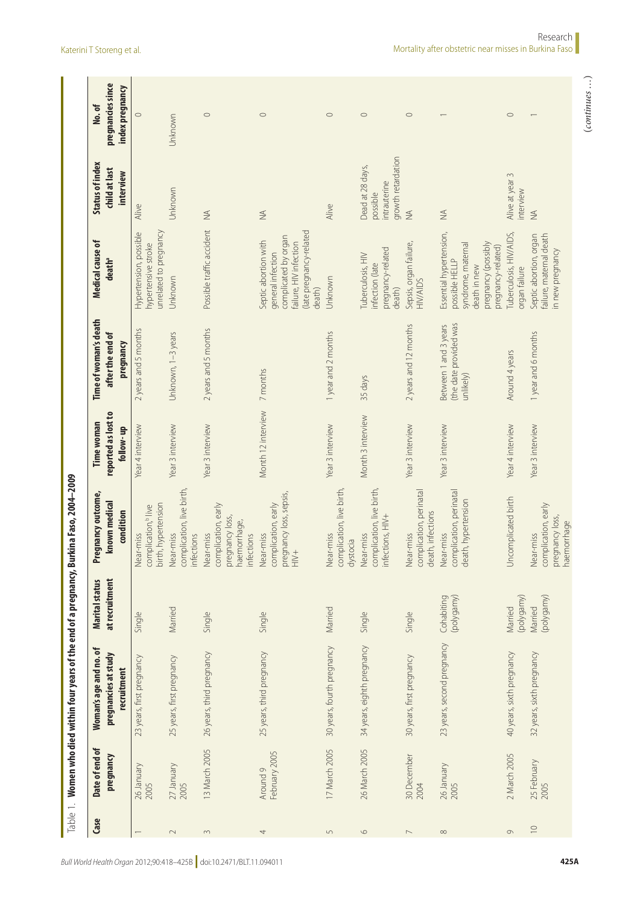<span id="page-8-0"></span>

| <b>PARA PARA</b> |
|------------------|
|                  |
|                  |
|                  |
|                  |
|                  |
|                  |
| ;<br>;           |
|                  |
|                  |
|                  |
|                  |
|                  |
|                  |
|                  |
|                  |
|                  |
|                  |
|                  |
|                  |
|                  |
| ī<br>l<br>ł      |
|                  |

| Case                     | Date of end of<br>pregnancy | Woman's age and no. of<br>pregnancies at study<br>recruitment | at recruitment<br><b>Marital status</b> | egnancy outcome,<br>known medical<br>condition<br>ᅕ                               | reported as lost to<br><b>Time woman</b><br>follow-up | Time of woman's death<br>after the end of<br>pregnancy       | Medical cause of<br>death <sup>a</sup>                                                                                           | <b>Status of index</b><br>child at last<br>interview               | pregnancies since<br>index pregnancy<br>No.of |
|--------------------------|-----------------------------|---------------------------------------------------------------|-----------------------------------------|-----------------------------------------------------------------------------------|-------------------------------------------------------|--------------------------------------------------------------|----------------------------------------------------------------------------------------------------------------------------------|--------------------------------------------------------------------|-----------------------------------------------|
|                          | 26 January<br>2005          | 23 years, first pregnancy                                     | Single                                  | birth, hypertension<br>complication, <sup>b</sup> live<br>Near-miss               | Year 4 interview                                      | 2 years and 5 months                                         | unrelated to pregnancy<br>Hypertension, possible<br>hypertensive stroke                                                          | Alive                                                              | $\circ$                                       |
| $\sim$                   | 27 January<br>2005          | 25 years, first pregnancy                                     | Married                                 | complication, live birth,<br>Near-miss<br>infections                              | Year 3 interview                                      | Unknown, 1-3 years                                           | Unknown                                                                                                                          | Unknown                                                            | Unknown                                       |
| $\sim$                   | 13 March 2005               | 26 years, third pregnancy                                     | Single                                  | complication, early<br>pregnancy loss,<br>haemorrhage,<br>Near-miss<br>infections | Year 3 interview                                      | 2 years and 5 months                                         | Possible traffic accident                                                                                                        | $\lessgtr$                                                         | $\circ$                                       |
| 4                        | February 2005<br>Around 9   | 25 years, third pregnancy                                     | Single                                  | pregnancy loss, sepsis,<br>complication, early<br>Near-miss<br>$\frac{+}{+}$      | Month 12 interview                                    | 7 months                                                     | (late pregnancy-related<br>complicated by organ<br>Septic abortion with<br>failure, HIV infection<br>general infection<br>death) | $\lessgtr$                                                         | $\circ$                                       |
| $\sqrt{ }$               | 17 March 2005               | 30 years, fourth pregnancy                                    | Married                                 | complication, live birth,<br>Near-miss<br>dystocia                                | Year 3 interview                                      | 1 year and 2 months                                          | Unknown                                                                                                                          | Alive                                                              | $\circ$                                       |
| $\circ$                  | 26 March 2005               | 34 years, eighth pregnancy                                    | Single                                  | complication, live birth,<br>infections, HIV+<br>Near-miss                        | Month 3 interview                                     | 35 days                                                      | pregnancy-related<br>Tuberculosis, HIV<br>infection (late<br>death)                                                              | growth retardation<br>Dead at 28 days,<br>intrauterine<br>possible | $\circ$                                       |
| $\overline{\phantom{0}}$ | 30 December<br>2004         | 30 years, first pregnancy                                     | Single                                  | complication, perinatal<br>death, infections<br>Near-miss                         | Year 3 interview                                      | 2 years and 12 months                                        | Sepsis, organ failure,<br><b>HIV/AIDS</b>                                                                                        | $\lessgtr$                                                         | $\circ$                                       |
| $\infty$                 | 26 January<br>2005          | 23 years, second pregnancy                                    | Cohabiting<br>(hueb/lod)                | complication, perinatal<br>death, hypertension<br>Near-miss                       | Year 3 interview                                      | (the date provided was<br>Between 1 and 3 years<br>unlikely) | Essential hypertension,<br>pregnancy (possibly<br>syndrome, maternal<br>pregnancy-related)<br>possible HELLP<br>death in new     | $\lessgtr$                                                         |                                               |
| $\circ$                  | 2 March 2005                | 40 years, sixth pregnancy                                     | (polygamy)<br>Married                   | Uncomplicated birth                                                               | Year 4 interview                                      | Around 4 years                                               | Tuberculosis, HIV/AIDS,<br>organ failure                                                                                         | Alive at year 3<br>interview                                       | $\circ$                                       |
| $\supseteq$              | 25 February<br>2005         | 32 years, sixth pregnancy                                     | (polygamy)<br>Married                   | complication, early<br>pregnancy loss,<br>haemorrhage<br>Near-miss                | Year 3 interview                                      | 1 year and 6 months                                          | failure, maternal death<br>Septic abortion, organ<br>in new pregnancy                                                            | $\lessgtr$                                                         |                                               |

(*continues* …)

 $(\emph{continues} \dots)$